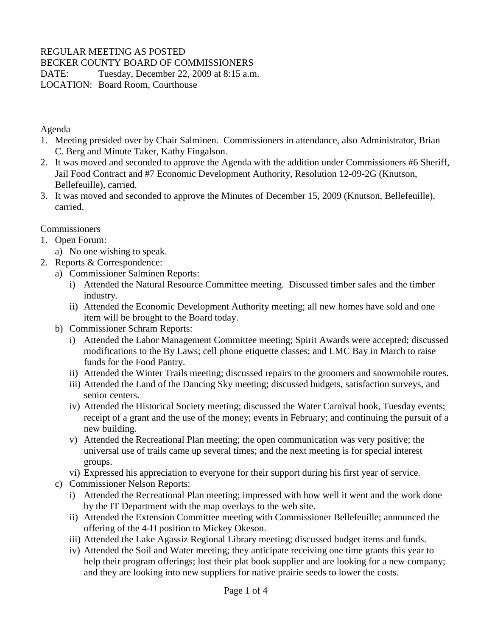# REGULAR MEETING AS POSTED

BECKER COUNTY BOARD OF COMMISSIONERS

DATE: Tuesday, December 22, 2009 at 8:15 a.m.

LOCATION: Board Room, Courthouse

#### Agenda

- 1. Meeting presided over by Chair Salminen. Commissioners in attendance, also Administrator, Brian C. Berg and Minute Taker, Kathy Fingalson.
- 2. It was moved and seconded to approve the Agenda with the addition under Commissioners #6 Sheriff, Jail Food Contract and #7 Economic Development Authority, Resolution 12-09-2G (Knutson, Bellefeuille), carried.
- 3. It was moved and seconded to approve the Minutes of December 15, 2009 (Knutson, Bellefeuille), carried.

#### Commissioners

- 1. Open Forum:
	- a) No one wishing to speak.
- 2. Reports & Correspondence:
	- a) Commissioner Salminen Reports:
		- i) Attended the Natural Resource Committee meeting. Discussed timber sales and the timber industry.
		- ii) Attended the Economic Development Authority meeting; all new homes have sold and one item will be brought to the Board today.
	- b) Commissioner Schram Reports:
		- i) Attended the Labor Management Committee meeting; Spirit Awards were accepted; discussed modifications to the By Laws; cell phone etiquette classes; and LMC Bay in March to raise funds for the Food Pantry.
		- ii) Attended the Winter Trails meeting; discussed repairs to the groomers and snowmobile routes.
		- iii) Attended the Land of the Dancing Sky meeting; discussed budgets, satisfaction surveys, and senior centers.
		- iv) Attended the Historical Society meeting; discussed the Water Carnival book, Tuesday events; receipt of a grant and the use of the money; events in February; and continuing the pursuit of a new building.
		- v) Attended the Recreational Plan meeting; the open communication was very positive; the universal use of trails came up several times; and the next meeting is for special interest groups.
		- vi) Expressed his appreciation to everyone for their support during his first year of service.
	- c) Commissioner Nelson Reports:
		- i) Attended the Recreational Plan meeting; impressed with how well it went and the work done by the IT Department with the map overlays to the web site.
		- ii) Attended the Extension Committee meeting with Commissioner Bellefeuille; announced the offering of the 4-H position to Mickey Okeson.
		- iii) Attended the Lake Agassiz Regional Library meeting; discussed budget items and funds.
		- iv) Attended the Soil and Water meeting; they anticipate receiving one time grants this year to help their program offerings; lost their plat book supplier and are looking for a new company; and they are looking into new suppliers for native prairie seeds to lower the costs.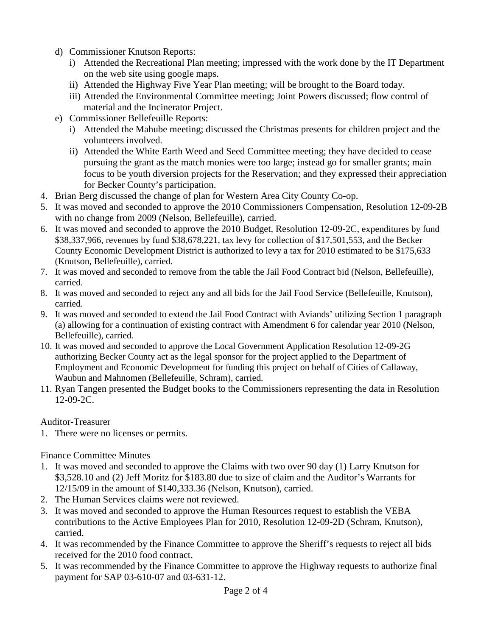- d) Commissioner Knutson Reports:
	- i) Attended the Recreational Plan meeting; impressed with the work done by the IT Department on the web site using google maps.
	- ii) Attended the Highway Five Year Plan meeting; will be brought to the Board today.
	- iii) Attended the Environmental Committee meeting; Joint Powers discussed; flow control of material and the Incinerator Project.
- e) Commissioner Bellefeuille Reports:
	- i) Attended the Mahube meeting; discussed the Christmas presents for children project and the volunteers involved.
	- ii) Attended the White Earth Weed and Seed Committee meeting; they have decided to cease pursuing the grant as the match monies were too large; instead go for smaller grants; main focus to be youth diversion projects for the Reservation; and they expressed their appreciation for Becker County's participation.
- 4. Brian Berg discussed the change of plan for Western Area City County Co-op.
- 5. It was moved and seconded to approve the 2010 Commissioners Compensation, Resolution 12-09-2B with no change from 2009 (Nelson, Bellefeuille), carried.
- 6. It was moved and seconded to approve the 2010 Budget, Resolution 12-09-2C, expenditures by fund \$38,337,966, revenues by fund \$38,678,221, tax levy for collection of \$17,501,553, and the Becker County Economic Development District is authorized to levy a tax for 2010 estimated to be \$175,633 (Knutson, Bellefeuille), carried.
- 7. It was moved and seconded to remove from the table the Jail Food Contract bid (Nelson, Bellefeuille), carried.
- 8. It was moved and seconded to reject any and all bids for the Jail Food Service (Bellefeuille, Knutson), carried.
- 9. It was moved and seconded to extend the Jail Food Contract with Aviands' utilizing Section 1 paragraph (a) allowing for a continuation of existing contract with Amendment 6 for calendar year 2010 (Nelson, Bellefeuille), carried.
- 10. It was moved and seconded to approve the Local Government Application Resolution 12-09-2G authorizing Becker County act as the legal sponsor for the project applied to the Department of Employment and Economic Development for funding this project on behalf of Cities of Callaway, Waubun and Mahnomen (Bellefeuille, Schram), carried.
- 11. Ryan Tangen presented the Budget books to the Commissioners representing the data in Resolution 12-09-2C.

# Auditor-Treasurer

1. There were no licenses or permits.

# Finance Committee Minutes

- 1. It was moved and seconded to approve the Claims with two over 90 day (1) Larry Knutson for \$3,528.10 and (2) Jeff Moritz for \$183.80 due to size of claim and the Auditor's Warrants for 12/15/09 in the amount of \$140,333.36 (Nelson, Knutson), carried.
- 2. The Human Services claims were not reviewed.
- 3. It was moved and seconded to approve the Human Resources request to establish the VEBA contributions to the Active Employees Plan for 2010, Resolution 12-09-2D (Schram, Knutson), carried.
- 4. It was recommended by the Finance Committee to approve the Sheriff's requests to reject all bids received for the 2010 food contract.
- 5. It was recommended by the Finance Committee to approve the Highway requests to authorize final payment for SAP 03-610-07 and 03-631-12.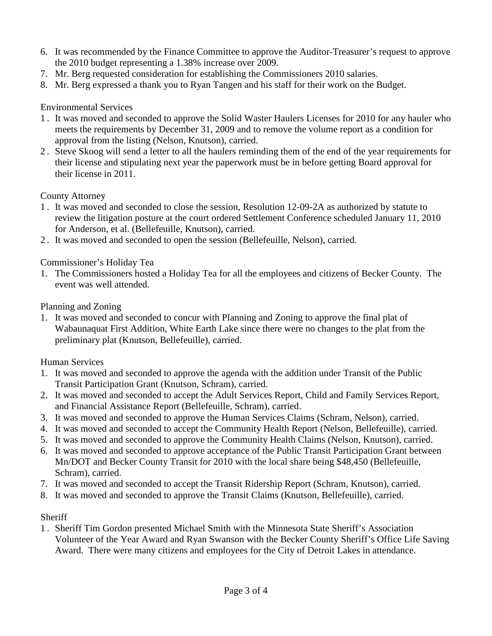- 6. It was recommended by the Finance Committee to approve the Auditor-Treasurer's request to approve the 2010 budget representing a 1.38% increase over 2009.
- 7. Mr. Berg requested consideration for establishing the Commissioners 2010 salaries.
- 8. Mr. Berg expressed a thank you to Ryan Tangen and his staff for their work on the Budget.

#### Environmental Services

- 1 . It was moved and seconded to approve the Solid Waster Haulers Licenses for 2010 for any hauler who meets the requirements by December 31, 2009 and to remove the volume report as a condition for approval from the listing (Nelson, Knutson), carried.
- 2 . Steve Skoog will send a letter to all the haulers reminding them of the end of the year requirements for their license and stipulating next year the paperwork must be in before getting Board approval for their license in 2011.

# County Attorney

- 1 . It was moved and seconded to close the session, Resolution 12-09-2A as authorized by statute to review the litigation posture at the court ordered Settlement Conference scheduled January 11, 2010 for Anderson, et al. (Bellefeuille, Knutson), carried.
- 2 . It was moved and seconded to open the session (Bellefeuille, Nelson), carried.

# Commissioner's Holiday Tea

1. The Commissioners hosted a Holiday Tea for all the employees and citizens of Becker County. The event was well attended.

#### Planning and Zoning

1. It was moved and seconded to concur with Planning and Zoning to approve the final plat of Wabaunaquat First Addition, White Earth Lake since there were no changes to the plat from the preliminary plat (Knutson, Bellefeuille), carried.

# Human Services

- 1. It was moved and seconded to approve the agenda with the addition under Transit of the Public Transit Participation Grant (Knutson, Schram), carried.
- 2. It was moved and seconded to accept the Adult Services Report, Child and Family Services Report, and Financial Assistance Report (Bellefeuille, Schram), carried.
- 3. It was moved and seconded to approve the Human Services Claims (Schram, Nelson), carried.
- 4. It was moved and seconded to accept the Community Health Report (Nelson, Bellefeuille), carried.
- 5. It was moved and seconded to approve the Community Health Claims (Nelson, Knutson), carried.
- 6. It was moved and seconded to approve acceptance of the Public Transit Participation Grant between Mn/DOT and Becker County Transit for 2010 with the local share being \$48,450 (Bellefeuille, Schram), carried.
- 7. It was moved and seconded to accept the Transit Ridership Report (Schram, Knutson), carried.
- 8. It was moved and seconded to approve the Transit Claims (Knutson, Bellefeuille), carried.

# Sheriff

1 . Sheriff Tim Gordon presented Michael Smith with the Minnesota State Sheriff's Association Volunteer of the Year Award and Ryan Swanson with the Becker County Sheriff's Office Life Saving Award. There were many citizens and employees for the City of Detroit Lakes in attendance.